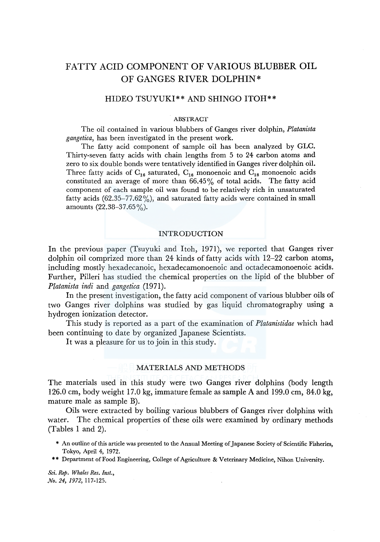# FATTY ACID COMPONENT OF VARIOUS BLUBBER OIL OF GANGES RIVER DOLPHIN\*

# HIDEO TSUYUKI\*\* AND SHINGO ITOH\*\*

### ABSTRACT

The oil contained in various blubbers of Ganges river dolphin, *Platanista gangetica,* has been investigated in the present work.

The fatty acid component of sample oil has been analyzed by GLC. Thirty-seven fatty acids with chain lengths from 5 to 24 carbon atoms and zero to six double bonds were tentatively identified in Ganges river dolphin oil. Three fatty acids of  $C_{16}$  saturated,  $C_{16}$  monoenoic and  $C_{18}$  monoenoic acids constituted an average of more than  $66.45\%$  of total acids. The fatty acid component of each sample oil was found to be relatively rich in unsaturated fatty acids  $(62.35-77.62\%)$ , and saturated fatty acids were contained in small amounts  $(22.38 - 37.65\%)$ .

### INTRODUCTION

In the previous paper (Tsuyuki and Itoh, 1971), we reported that Ganges river dolphin oil comprized more than 24 kinds of fatty acids with 12-22 carbon atoms, including mostly hexadecanoic, hexadecamonoenoic and octadecamonoenoic acids. Further, Pilleri has studied the chemical properties on the lipid of the blubber of *Platanista indi* and *gangetica* (1971).

In the present investigation, the fatty acid component of various blubber oils of two Ganges river dolphins was studied by gas liquid chromatography using a hydrogen ionization detector.

This study is reported as a part of the examination of *Platanistidae* which had been continuing to date by organized Japanese Scientists.

It was a pleasure for us to join in this study.

# MATERIALS AND METHODS

The materials used in this study were two Ganges river dolphins (body length 126.0 cm, body weight 17.0 kg, immature female as sample A and 199.0 cm, 84.0 kg, mature male as sample B).

Oils were extracted by boiling various blubbers of Ganges river dolphins with water. The chemical properties of these oils were examined by ordinary methods (Tables 1 and 2).

- \* An outline of this article was presented to the Annual Meeting of Japanese Society of Scientific Fisheries, Tokyo, April 4, 1972.
- \*\* Department of Food Engineering, College of Agriculture & Veterinary Medicine, Nihon University.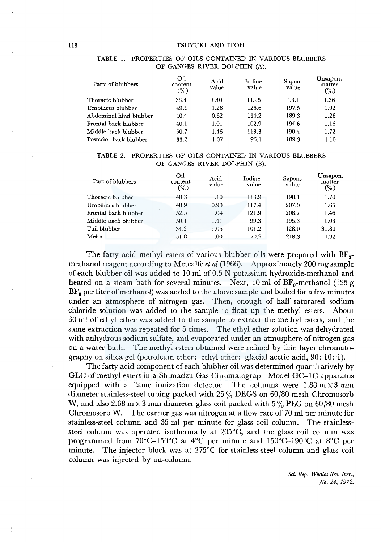| Parts of blubbers      | Oil<br>content<br>(%) | Acid<br>value | Iodine<br>value | Sapon.<br>value | Unsapon.<br>matter<br>$(\%)$ |
|------------------------|-----------------------|---------------|-----------------|-----------------|------------------------------|
| Thoracic blubber       | 38.4                  | 1.40          | 115.5           | 193.1           | 1.36                         |
| Umbilicus blubber      | 49.1                  | 1.26          | 125.6           | 197.5           | 1.02                         |
| Abdominal hind blubber | 40.4                  | 0.62          | 114.2           | 189.3           | 1.26                         |
| Frontal back blubber   | 40.1                  | 1.01          | 102.9           | 194.6           | 1.16                         |
| Middle back blubber    | 50.7                  | 1.46          | 113.3           | 190.4           | 1.72                         |
| Posterior back blubber | 33.2                  | 1.07          | 96.1            | 189.3           | 1.10                         |

### TABLE 1. PROPERTIES OF OILS CONTAINED IN VARIOUS BLUBBERS OF GANGES RIVER DOLPHIN (A).

# TABLE 2. PROPERTIES OF OILS CONTAINED IN VARIOUS BLUBBERS OF GANGES RIVER DOLPHIN (B).

| Part of blubbers     | Oil<br>content<br>$(\%)$ | Acid<br>value | Iodine<br>value | Sapon.<br>value | Unsapon.<br>matter<br>$(\%)$ |
|----------------------|--------------------------|---------------|-----------------|-----------------|------------------------------|
| Thoracic blubber     | 48.3                     | 1.10          | 113.9           | 198.1           | 1.70                         |
| Umbilicus blubber    | 48.9                     | 0.90          | 117.4           | 207.0           | 1.65                         |
| Frontal back blubber | 52.5                     | 1.04          | 121.9           | 208.2           | 1.46                         |
| Middle back blubber  | 50.1                     | 1.41          | 99.3            | 195.3           | 1.03                         |
| Tail blubber         | 34.2                     | 1.05          | 101.2           | 128.0           | 31.80                        |
| Melon                | 51.8                     | 1.00          | 70.9            | 218.3           | 0.92                         |

The fatty acid methyl esters of various blubber oils were prepared with  $BF_{3}$ methanol reagent according to Metcalfe *et al* (1966). Approximately 200 mg sample of each blubber oil was added to  $10$  ml of  $0.5$  N potassium hydroxide-methanol and heated on a steam bath for several minutes. Next,  $10 \text{ ml of BF}_3$ -methanol (125 g  $BF_a$  per liter of methanol) was added to the above sample and boiled for a few minutes under an atmosphere of nitrogen gas. Then, enough of half saturated sodium chloride solution was added to the sample to float up the methyl esters. About 30 ml of ethyl ether was added to the sample to extract the methyl esters, and the same extraction was repeated for 5 times. The ethyl ether solution was dehydrated with anhydrous sodium sulfate, and evaporated under an atmosphere of nitrogen gas on a water bath. The methyl esters obtained were refined by thin layer chromatography on silica gel (petroleum ether: ethyl ether: glacial acetic acid, 90: 10: I).

The fatty acid component of each blubber oil was determined quantitatively by GLC of methyl esters in a Shimadzu Gas Chromatograph Model GC-lC apparatus equipped with a flame ionization detector. The columns were  $1.80 \text{ m} \times 3 \text{ mm}$ diameter stainless-steel tubing packed with 25 % DEGS on 60/80 mesh Chromosorb W, and also 2.68 m  $\times$  3 mm diameter glass coil packed with 5% PEG on 60/80 mesh Chromosorb W. The carrier gas was nitrogen at a flow rate of 70 ml per minute for stainless-steel column and 35 ml per minute for glass coil column. The stainlesssteel column was operated isothermally at 205°C, and the glass coil column was programmed from 70°C-150°C at 4°C per minute and 150°C-190°C at 8°C per minute. The injector block was at 275°C for stainless-steel column and glass coil column was injected by on-column.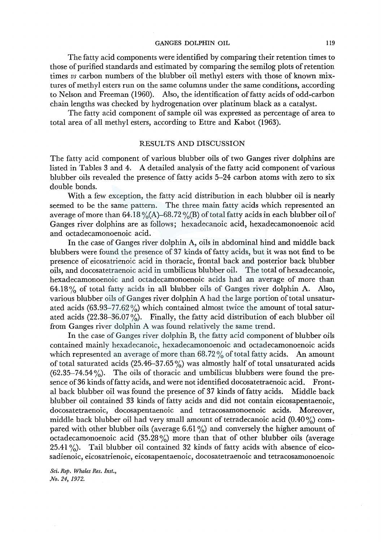GANGES DOLPHIN OIL 119

The fatty acid components were identified by comparing their retention times to those of purified standards and estimated by comparing the semilog plots of retention times *vs* carbon numbers of the blubber oil methyl esters with those of known mixtures of methyl esters run on the same columns under the same conditions, according to Nelson and Freeman (1960). Also, the identification of fatty acids of odd-carbon chain lengths was checked by hydrogenation over platinum black as a catalyst.

The fatty acid component of sample oil was expressed as percentage of area to total area of all methyl esters, according to Ettre and Kabot (1963).

# RESULTS AND DISCUSSION

The fatty acid component of various blubber oils of two Ganges river dolphins are listed in Tables 3 and 4. A detailed analysis of the fatty acid component of various blubber oils revealed the presence of fatty acids 5-24 carbon atoms with zero to six double bonds.

With a few exception, the fatty acid distribution in each blubber oil is nearly seemed to be the same pattern. The three main fatty acids which represented an average of more than 64.18 %(A)–68.72 %(B) of total fatty acids in each blubber oil of Ganges river dolphins are as follows; hexadecanoic acid, hexadecamonoenoic acid and octadecamonoenoic acid.

In the case of Ganges river dolphin A, oils in abdominal hind and middle back blubbers were found the presence of 37 kinds of fatty acids, but it was not find to be presence of eicosatrienoic acid in thoracic, frontal back and posterior back blubber oils, and docosatetraenoic acid in umbilicus blubber oil. The total ofhexadecanoic, hexadecamonoenoic and octadecamonoenoic acids had an average of more than 64.18% of total fatty acids in all blubber oils of Ganges river dolphin A. Also, various blubber oils of Ganges river dolphin A had the large portion of total unsaturated acids  $(63.93-77.62\%)$  which contained almost twice the amount of total saturated acids  $(22.38-36.07\%)$ . Finally, the fatty acid distribution of each blubber oil from Ganges river dolphin A was found relatively the same trend.

In the case of Ganges river dolphin B, the fatty acid component of blubber oils contained mainly hexadecanoic, hexadecamonoenoic and octadecamonoenoic acids which represented an average of more than  $68.72\%$  of total fatty acids. An amount of total saturated acids  $(25.46-37.65\%)$  was almostly half of total unsaturated acids  $(62.35-74.54\%)$ . The oils of thoracic and umbilicus blubbers were found the presence of36 kinds of fatty acids, and were not identified docosatetraenoic acid. Frontal back blubber oil was found the presence of 37 kinds of fatty acids. Middle back blubber oil contained 33 kinds of fatty acids and did not contain eicosapentaenoic, docosatetraenoic, docosapentaenoic and tetracosamonoenoic acids. Moreover, middle back blubber oil had very small amount of tetradecanoic acid  $(0.40\%)$  compared with other blubber oils (average 6.61%) and conversely the higher amount of octadecamonoenoic acid  $(35.28\%)$  more than that of other blubber oils (average 25.41 %). Tail blubber oil contained 32 kinds of fatty acids with absence of eicosadienoic, eicosatrienoic, eicosapentaenoic, docosatetraenoic and tetracosamonoenoic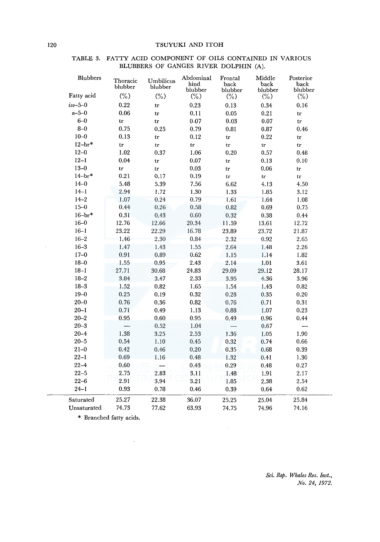| Blubbers      | Thoracic<br>blubber | Umbilicus<br>blubber | Abdominal<br>hind<br>blubber | Frontal<br>back<br>blubber | Middle<br>back<br>blubber | Posterior<br>back<br>blubber |  |
|---------------|---------------------|----------------------|------------------------------|----------------------------|---------------------------|------------------------------|--|
| Fatty acid    | $(\%)$              | $(\%)$               | $(\%)$                       | $(\% )$                    | $(\%)$                    | $(\% )$                      |  |
| $iso - 5 - 0$ | 0.22                | tr                   | 0.23                         | 0.13                       | 0.34                      | 0.16                         |  |
| $n - 5 - 0$   | 0.06                | tr                   | 0.11                         | 0.05                       | 0.21                      | tr                           |  |
| $6 - 0$       | tr                  | tr                   | 0.07                         | 0.03                       | 0.07                      | tr                           |  |
| $8 - 0$       | 0.75                | 0.25                 | 0.79                         | 0.81                       | 0.87                      | 0.46                         |  |
| $10 - 0$      | 0.13                | tr                   | 0.12                         | tr                         | 0.22                      | tr                           |  |
| $12-br*$      | tr                  | tr                   | ${\rm tr}$                   | tr                         | tr                        | tr                           |  |
| $12 - 0$      | 1.02                | 0.37                 | 1.06                         | 0.20                       | 0.57                      | 0.48                         |  |
| $12 - 1$      | 0.04                | tr                   | 0.07                         | tr                         | 0.13                      | 0.10                         |  |
| $13 - 0$      | tr                  | tr                   | $\rm 0.03$                   | tr                         | 0.06                      | $\mathop{\rm tr}\nolimits$   |  |
| $14-br*$      | 0.21                | 0.17                 | 0.19                         | tr                         | tr                        | tr                           |  |
| $14 - 0$      | 5.48                | 5.39                 | 7.56                         | 6.62                       | 4.13                      | 4.50                         |  |
| $14 - 1$      | 2.94                | 1.72                 | 1.30                         | 1.33                       | 1.85                      | 3.12                         |  |
| $14 - 2$      | 1.07                | 0.24                 | 0.79                         | 1.61                       | 1.64                      | 1.08                         |  |
| $15 - 0$      | 0.44                | 0.26                 | 0.58                         | 0.82                       | 0.69                      | 0.75                         |  |
| $16 - br*$    | 0.31                | 0.43                 | 0.60                         | 0.32                       | 0.38                      | 0.44                         |  |
| $16 - 0$      | 12.76               | 12.66                | 20.34                        | 11.59                      | 13.61                     | 12.72                        |  |
| $16 - 1$      | 23.22               | 22.29                | 16.78                        | 23.89                      | 23.72                     | 21.87                        |  |
| $16 - 2$      | 1.46                | 2.30                 | 0.84                         | 2.32                       | 0.92                      | 2.65                         |  |
| $16 - 3$      | 1.47                | 1.43                 | 1.55                         | 2.64                       | 1.48                      | 2.26                         |  |
| $17 - 0$      | 0.91                | 0.89                 | 0.62                         | 1.15                       | 1.14                      | 1.82                         |  |
| $18 - 0$      | 1.55                | 0.95                 | 2.43                         | 2.14                       | 1.01                      | 3.61                         |  |
| $18 - 1$      | 27.71               | 30.68                | 24.83                        | 29.09                      | 29.12                     | 28.17                        |  |
| $18 - 2$      | 3.84                | 3.47                 | 2.33                         | 3.95                       | 4.36                      | 3.96                         |  |
| $18 - 3$      | 1.52                | 0.82                 | 1.65                         | 1.54                       | 1.43                      | 0.82                         |  |
| $19 - 0$      | 0.25                | 0.19                 | 0.32                         | 0.28                       | 0.35                      | 0.20                         |  |
| $20 - 0$      | 0.76                | 0.36                 | 0.82                         | 0.76                       | 0.71                      | 0.31                         |  |
| $20 - 1$      | 0.71                | 0.49                 | 1.13                         | 0.88                       | 1.07                      | 0.23                         |  |
| $20 - 2$      | 0.95                | 0.60                 | 0.95                         | 0.49                       | 0.96                      | 0.44                         |  |
| $20 - 3$      |                     | 0.52                 | 1.04                         |                            | 0.67                      |                              |  |
| $20 - 4$      | 1.38                | 3.25                 | 2.53                         | 1.36                       | 1.05                      | 1.90                         |  |
| $20 - 5$      | 0.54                | 1.10                 | 0.45                         | 0.32                       | 0.74                      | 0.66                         |  |
| $21 - 0$      | 0.42                | 0.46                 | 0.20                         | 0.35                       | 0.68                      | 0.39                         |  |
| $22 - 1$      | 0.69                | 1.16                 | 0.48                         | 1.32                       | 0.41                      | 1.30                         |  |
| $22 - 4$      | 0.60                |                      | 0.43                         | 0.29                       | $0.48\,$                  | 0.27                         |  |
| $22 - 5$      | 2.75                | 2.83                 | 3.11                         | 1.48                       | 1.91                      | 2.17                         |  |
| $22 - 6$      | 2.91                | 3.94                 | 3.21                         | 1.85                       | 2.38                      | 2.54                         |  |
| $24 - 1$      | 0.93                | 0.78                 | 0.46                         | 0.39                       | 0.64                      | 0.62                         |  |
| Saturated     | 25.27               | 22.38                | 36.07                        | 25.25                      | 25.04                     | 25.84                        |  |
| Unsaturated   | 74.73               | 77.62                | 63.93                        | 74.75                      | 74.96                     | 74.16                        |  |

# TABLE 3. FATTY ACID COMPONENT OF OILS CONTAINED IN VARIOUS BLUBBERS OF GANGES RIVER DOLPHIN (A).

\* Branched fatty acids.

 $\bar{z}$ 

*Sci. Rep. Whales Res. Inst., No. 24, 1972.* 

 $\mathbf{r}$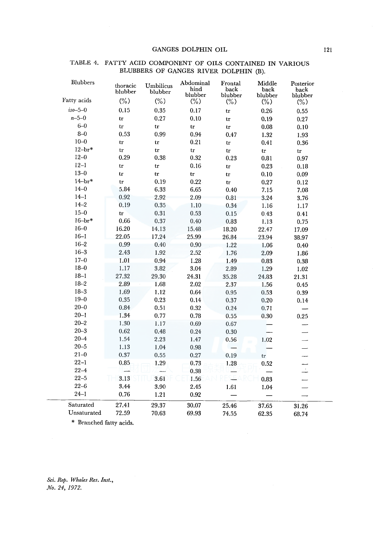# GANGES DOLPHIN OIL

| Blubbers                | thoracic<br>blubber | Umbilicus<br>blubber | Abdominal<br>hind<br>blubber | Frontal<br>back.<br>blubber | Middle<br>back<br>blubber | Posterior<br>back<br>blubber |
|-------------------------|---------------------|----------------------|------------------------------|-----------------------------|---------------------------|------------------------------|
| Fatty acids             | $(\%)$              | $(\%)$               | $(\% )$                      | $(\% )$                     | $(\%)$                    | $(\% )$                      |
| $iso - 5 - 0$           | 0.15                | 0.35                 | 0.17                         | tr                          | 0.26                      | 0.55                         |
| $n - 5 - 0$             | tr                  | 0.27                 | 0.10                         | tr                          | 0.19                      | 0.27                         |
| $6 - 0$                 | tr                  | tr                   | tr                           | tr                          | 0.08                      | 0.10                         |
| $8 - 0$                 | 0.53                | 0.99                 | 0.94                         | 0.47                        | 1.32                      | 1.93                         |
| $10 - 0$                | tr                  | tr                   | 0.21                         | tr                          | 0.41                      | 0.36                         |
| $12 - br*$              | tr                  | tr                   | tr                           | tr                          | tr                        | tr                           |
| $12 - 0$                | 0.29                | 0.38                 | 0.32                         | 0.23                        | 0.81                      | 0.97                         |
| $12 - 1$                | tr                  | tr                   | 0.16                         | tr                          | 0.23                      | 0.18                         |
| $13 - 0$                | tr                  | tr                   | tr                           | tr                          | 0.10                      | 0.09                         |
| $14 - br*$              | tr                  | 0.19                 | 0.22                         | tr                          | 0.27                      | 0.12                         |
| $14 - 0$                | 5.84                | 6.33                 | 6.65                         | 0.40                        | 7.15                      | 7.08                         |
| $14 - 1$                | 0.92                | 2.92                 | 2.09                         | 0.81                        | 3.24                      | 3.76                         |
| $14 - 2$                | 0.19                | 0.35                 | 1.10                         | 0.34                        | 1.16                      | 1.17                         |
| $15 - 0$                | tr                  | 0.31                 | 0.53                         | 0.15                        | 0.43                      | 0.41                         |
| $16-br*$                | 0.66                | 0.37                 | 0.40                         | 0.83                        | 1.13                      | 0.75                         |
| $16 - 0$                | 16.20               | 14.13                | 15.48                        | 18.20                       | 22.47                     | 17.09                        |
| $16 - 1$                | 22.05               | 17.24                | 25.99                        | 26.84                       | 23.94                     | 38.97                        |
| $16 - 2$                | 0.99                | 0.40                 | 0.90                         | 1.22                        | 1.06                      | 0.40                         |
| $16 - 3$                | 2.43                | 1.92                 | 2.52                         | 1.76                        | 2.09                      | 1.86                         |
| $17 - 0$                | 1.01                | 0.94                 | 1.28                         | 1.49                        | 0.83                      | 0.38                         |
| $18 - 0$                | 1.17                | 3.82                 | 3.04                         | 2.89                        | 1.29                      | 1.02                         |
| $18 - 1$                | 27.32               | 29.30                | 24.31                        | 35.28                       | 24.83                     | 21.31                        |
| $18 - 2$                | 2.89                | 1.68                 | 2.02                         | 2.37                        | 1.56                      | 0.45                         |
| $18 - 3$                | 1.69                | 1.12                 | 0.64                         | 0.95                        | 0.53                      | 0.39                         |
| $19 - 0$                | 0.35                | 0.23                 | 0.14                         | 0.37                        | 0.20                      | 0.14                         |
| $20 - 0$                | $\rm 0.84$          | 0.51                 | 0.32                         | 0.24                        | 0.71                      |                              |
| $20 - 1$                | 1.34                | 0.77                 | 0.78                         | 0.55                        | 0.30                      | 0.25                         |
| $20 - 2$                | 1.30                | 1.17                 | 0.69                         | 0.67                        |                           |                              |
| $20 - 3$                | 0.62                | 0.48                 | 0.24                         | 0.30                        |                           |                              |
| $20 - 4$                | 1.54                | 2.23                 | 1.47                         | 0.56                        | 1.02                      |                              |
| $20 - 5$                | 1.13                | 1.04                 | 0.98                         |                             |                           |                              |
| $21 - 0$                | 0.37                | 0.55                 | 0.27                         | 0.19                        | tr                        |                              |
| $22 - 1$                | 0.85                | 1.29                 | 0.73                         | 1.28                        | 0.52                      |                              |
| $22 - 4$                |                     |                      | 0.38                         |                             |                           | $\overline{\phantom{a}}$     |
| $22 - 5$                | 3.13                | 3.61                 | 1.56                         |                             | 0.83                      |                              |
| $22 - 6$                | 3.44                | 3.90                 | 2.45                         | 1.61                        | 1.04                      |                              |
| $24 - 1$                | 0.76                | 1.21                 | 0.92                         |                             |                           |                              |
| Saturated               | 27.41               | 29.37                | 30.07                        | 25.46                       | 37.65                     | 31.26                        |
| Unsaturated             | 72.59               | 70.63                | 69.93                        | 74.55                       | 62.35                     | 68.74                        |
| * Branched fatty acids. |                     |                      |                              |                             |                           |                              |

# TABLE 4. FATTY ACID COMPONENT OF OILS CONTAINED IN VARIOUS BLUBBERS OF GANGES RIVER DOLPHIN (B).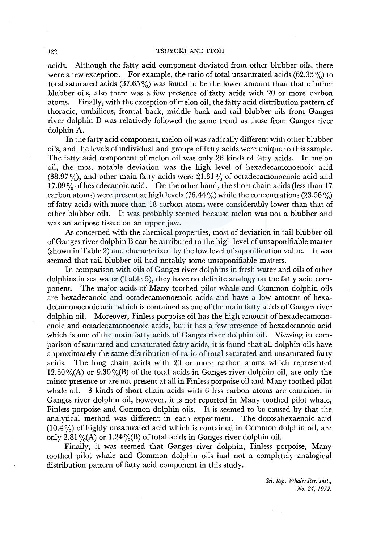#### 122 TSUYUKI AND ITOH

acids. Although the fatty acid component deviated from other blubber oils, there were a few exception. For example, the ratio of total unsaturated acids  $(62.35\%)$  to total saturated acids  $(37.65\%)$  was found to be the lower amount than that of other blubber oils, also there was a few presence of fatty acids with 20 or more carbon atoms. Finally, with the exception of melon oil, the fatty acid distribution pattern of thoracic, umbilicus, frontal back, middle back and tail blubber oils from Ganges river dolphin B was relatively followed the same trend as those from Ganges river dolphin A.

In the fatty acid component, melon oil was radically different with other blubber oils, and the levels of individual and groups of fatty acids were unique to this sample. The fatty acid component of melon oil was only 26 kinds of fatty acids. In melon oil, the most notable deviation was the high level of hexadecamonoenoic acid (38.97%), and other main fatty acids were  $21.31\%$  of octadecamonoenoic acid and  $17.09\%$  of hexadecanoic acid. On the other hand, the short chain acids (less than 17 carbon atoms) were present at high levels (76.44%) while the concentrations (23.56%) of fatty acids with more than 18 carbon atoms were considerably lower than that of other blubber oils. It was probably seemed because melon was not a blubber and was an adipose tissue on an upper jaw.

As concerned with the chemical properties, most of deviation in tail blubber oil of Ganges river dolphin B can be attributed to the high level of unsaponifiable matter (shown in Table 2) and characterized by the low level ofsaponification value. It was seemed that tail blubber oil had notably some unsaponifiable matters.

In comparison with oils of Ganges river dolphins in fresh water and oils of other dolphins in sea water (Table 5), they have no definite analogy on the fatty acid component. The major acids of Many toothed pilot whale and Common dolphin oils are hexadecanoic and octadecamonoenoic acids and have a low amount of hexadecamonoenoic acid which is contained as one of the main fatty acids of Ganges river dolphin oil. Moreover, Finless porpoise oil has the high amount of hexadecamonoenoic and octadecamonoenoic acids, but it has a few presence of hexadecanoic acid which is one of the main fatty acids of Ganges river dolphin oil. Viewing in comparison of saturated and unsaturated fatty acids, it is found that all dolphin oils have approximately the same distribution of ratio of total saturated and unsaturated fatty acids. The long chain acids with 20 or more carbon atoms which represented  $12.50\%$ (A) or  $9.30\%$ (B) of the total acids in Ganges river dolphin oil, are only the minor presence or are not present at all in Finless porpoise oil and Many toothed pilot whale oil. 3 kinds of short chain acids with 6 less carbon atoms are contained in Ganges river dolphin oil, however, it is not reported in Many toothed pilot whale, Finless porpoise and Common dolphin oils. It is seemed to be caused by that the analytical method was different in each experiment. The docosahexaenoic acid  $(10.4\%)$  of highly unsaturated acid which is contained in Common dolphin oil, are only 2.81% (A) or 1.24% (B) of total acids in Ganges river dolphin oil.

Finally, it was seemed that Ganges river dolphin, Finless porpoise, Many toothed pilot whale and Common dolphin oils had not a completely analogical distribution pattern of fatty acid component in this study.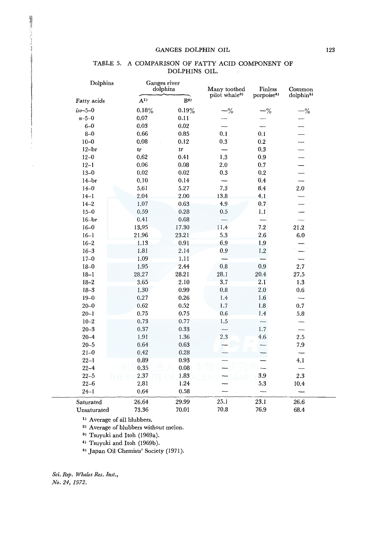# GANGES DOLPHIN OIL 123

| Dolphins      | Ganges river<br>dolphins |                | Many toothed              | Finless                | Common                   |
|---------------|--------------------------|----------------|---------------------------|------------------------|--------------------------|
| Fatty acids   | $A^{1}$                  | B <sup>2</sup> | pilot whale <sup>3)</sup> | porpoise <sup>4)</sup> | dolphin <sup>5)</sup>    |
| $iso - 5 - 0$ | 0.18%                    | 0.19%          | $-$ %                     | $-$ %                  | $-\%$                    |
| $n - 5 - 0$   | 0.07                     | 0.11           |                           |                        |                          |
| $6 - 0$       | $\rm 0.03$               | 0.02           |                           |                        |                          |
| $8 - 0$       | 0.66                     | 0.85           | 0.1                       | 0.1                    |                          |
| $10 - 0$      | 0.08                     | 0.12           | 0.3                       | 0.2                    | $\overline{\phantom{a}}$ |
| $12 - br$     | tr                       | tr             |                           | 0.3                    | $\overline{\phantom{0}}$ |
| $12 - 0$      | 0.62                     | 0.41           | 1.3                       | 0.9                    | L,                       |
| $12 - 1$      | 0.06                     | 0.08           | 2.0                       | 0.7                    |                          |
| $13 - 0$      | 0.02                     | $\rm 0.02$     | 0.3                       | 0.2                    |                          |
| $14 - br$     | 0.10                     | 0.14           |                           | 0.4                    | $\overline{\phantom{0}}$ |
| $14 - 0$      | 5.61                     | 5.27           | 7.3                       | 8.4                    | 2.0                      |
| $14 - 1$      | 2.04                     | 2.00           | 13.8                      | 4.1                    | $\overline{\phantom{0}}$ |
| $14 - 2$      | 1.07                     | 0.63           | 4,9                       | 0.7                    |                          |
| $15 - 0$      | 0.59                     | 0.28           | 0.5                       | 1.1                    |                          |
| $16 - br$     | 0.41                     | 0.68           |                           |                        |                          |
| $16 - 0$      | 13.95                    | 17.30          | 11.4                      | 7.2                    | 21.2                     |
| $16 - 1$      | 21.96                    | 23.21          | 5.3                       | 2.6                    | 6.0                      |
| $16 - 2$      | 1.13                     | 0.91           | 6.9                       | 1.9                    |                          |
| $16 - 3$      | 1.81                     | 2.14           | 0.9                       | 1.2                    |                          |
| $17 - 0$      | 1.09                     | 1.11           |                           |                        |                          |
| $18 - 0$      | 1.95                     | 2.44           | 0.8                       | 0.9                    | 2.7                      |
| $18 - 1$      | 28.27                    | 28.21          | 28.1                      | $20.4\,$               | 27.5                     |
| $18 - 2$      | 3.65                     | 2.10           | 3.7                       | 2.1                    | 1.3                      |
| $18 - 3$      | 1.30                     | 0.99           | $_{\rm 0.8}$              | $2.0\,$                | 0.6                      |
| $19 - 0$      | 0.27                     | 0.26           | 1,4                       | 1.6                    | $\overline{\phantom{0}}$ |
| $20 - 0$      | 0.62                     | 0.52           | 1.7                       | 1.8                    | 0.7                      |
| $20 - 1$      | 0.75                     | 0.75           | 0.6                       | 1.4                    | 5.8                      |
| $10 - 2$      | 0.73                     | 0.77           | 1,5                       |                        |                          |
| $20 - 3$      | 0.37                     | 0.33           | $\overline{\phantom{0}}$  | 1.7                    |                          |
| $20 - 4$      | 1.91                     | 1.36           | 2.3                       | 4.6                    | 2.5                      |
| $20 - 5$      | 0.64                     | 0.63           |                           |                        | 7.9                      |
| $21 - 0$      | 0.42                     | 0.28           |                           |                        |                          |
| $22 - 1$      | 0.89                     | 0.93           |                           |                        | 4.1                      |
| $22 - 4$      | 0.35                     | 0.08           |                           |                        |                          |
| $22 - 5$      | 2.37                     | 1.83           |                           | 3.9                    | 2.3                      |
| $22 - 6$      | 2.81                     | 1.24           |                           | 5.3                    | 10.4                     |
| $24 - 1$      | $\,0.64\,$               | 0.58           |                           |                        |                          |
| Saturated     | 26.64                    | 29.99          | 25.1                      | 23.1                   | 26.6                     |
| Unsaturated   | 73.36                    | 70.01          | 70.8                      | 76.9                   | 68.4                     |

# TABLE 5. A COMPARISON OF FATTY ACID COMPONENT OF DOLPHINS OIL.

<sup>1)</sup> Average of all blubbers.

<sup>2)</sup> Average of blubbers without melon.

3> Tsuyuki and Itoh (1969a).

<sup>4)</sup> Tsuyuki and Itoh (1969b).

5> Japan Oil Chemists' Society (1971).

*Sci. Rep. Whales Res. Inst., No. 24, 1972.* 

 $\overline{\phantom{a}}$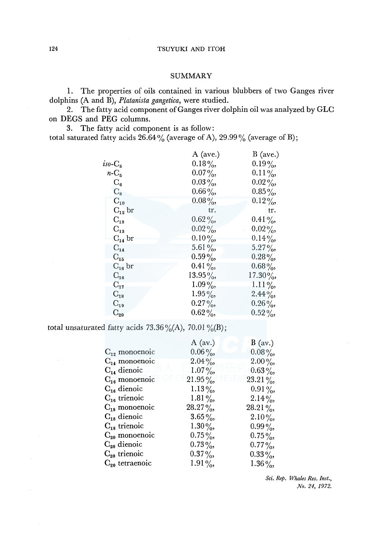# **SUMMARY**

1. The properties of oils contained in various blubbers of two Ganges river dolphins (A and B), *Platanista gangetica,* were studied.

2. The fatty acid component of Ganges river dolphin oil was analyzed by GLC on DEGS and PEG columns.

3. The fatty acid component is as follow:

total saturated fatty acids  $26.64\%$  (average of A),  $29.99\%$  (average of B);

|                            | A (ave.)   | B (ave.)   |
|----------------------------|------------|------------|
| $iso-C_5$                  | $0.18\%$   | $0.19\%$   |
| $n-C_5$                    | $0.07\%$   | $0.11\%$   |
| $C_6$                      | $0.03\,\%$ | $0.02\%$   |
| $C_8$                      | $0.66\%$   | $0.85\,\%$ |
| $C_{10}$                   | $0.08\%$   | $0.12\%$   |
| $C_{12}$ br                | tr.        | tr.        |
| $\mathrm{C}_{12}$          | $0.62\%$   | $0.41\%$   |
| $\mathrm{C}_{\mathbf{13}}$ | $0.02\%$   | $0.02\%$   |
| $C_{14}$ br                | $0.10\%$   | $0.14\%$   |
| $C_{14}$                   | $5.61\%$   | $5.27\%$   |
| $\mathrm{C_{15}}$          | $0.59\%$   | $0.28\%$   |
| $C_{16}$ br                | $0.41\%$   | $0.68\%$   |
| $C_{16}$                   | $13.95\%$  | $17.30\%$  |
| $C_{17}$                   | $1.09\%$   | $1.11\%$   |
| $C_{18}$                   | $1.95\%$   | $2.44\%$   |
| $C_{19}$                   | $0.27\%$   | $0.26\%$   |
| $C_{20}$                   | $0.62\%$   | $0.52\%$   |

total unsaturated fatty acids  $73.36\frac{\cancel{0}}{\cancel{0}}(A)$ ,  $70.01\frac{\cancel{0}}{\cancel{0}}(B)$ ;

|                    | B (av.)   |
|--------------------|-----------|
| $0.06\%$           | $0.08\%$  |
| $2.04\%$           | $2.00\%$  |
| $1.07\%$           | $0.63\%$  |
| $21.95\%$          | 23.21%,   |
| $1.13\%$           | $0.91\%$  |
| 1.81 $\frac{9}{6}$ | $2.14\%$  |
| 28.27%,            | $28.21\%$ |
| $3.65\%$           | $2.10\%$  |
| $1.30\%$           | $0.99\%$  |
| $0.75\%$           | $0.75\%$  |
| $0.73\%$           | $0.77\%$  |
| $0.37\%$           | $0.33\%$  |
| $1.91\%$           | $1.36\%$  |
|                    | A (av.)   |